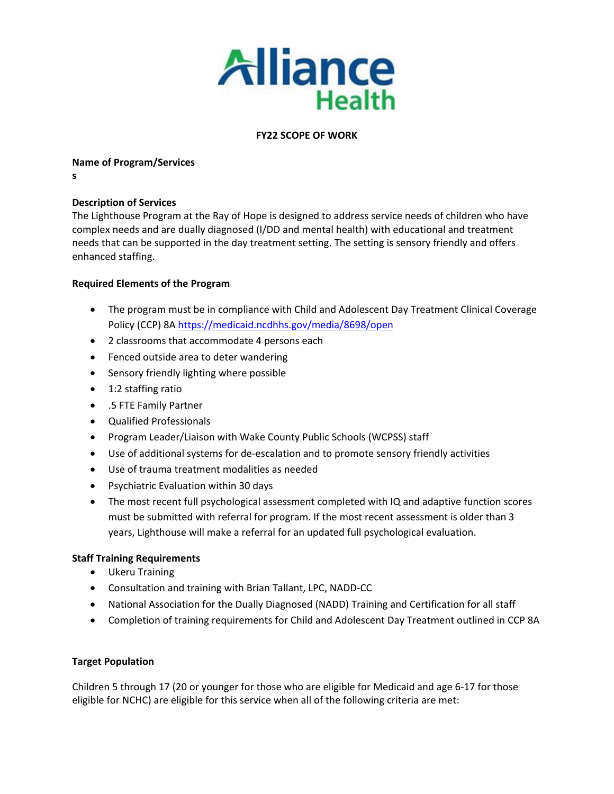

# **FY22 SCOPE OF WORK**

### **Name of Program/Services**

**s**

## **Description of Services**

The Lighthouse Program at the Ray of Hope is designed to address service needs of children who have complex needs and are dually diagnosed (I/DD and mental health) with educational and treatment needs that can be supported in the day treatment setting. The setting is sensory friendly and offers enhanced staffing.

## **Required Elements of the Program**

- The program must be in compliance with Child and Adolescent Day Treatment Clinical Coverage Policy (CCP) 8[A https://medicaid.ncdhhs.gov/media/8698/open](https://medicaid.ncdhhs.gov/media/8698/open)
- 2 classrooms that accommodate 4 persons each
- Fenced outside area to deter wandering
- Sensory friendly lighting where possible
- 1:2 staffing ratio
- .5 FTE Family Partner
- Qualified Professionals
- Program Leader/Liaison with Wake County Public Schools (WCPSS) staff
- Use of additional systems for de-escalation and to promote sensory friendly activities
- Use of trauma treatment modalities as needed
- Psychiatric Evaluation within 30 days
- The most recent full psychological assessment completed with IQ and adaptive function scores must be submitted with referral for program. If the most recent assessment is older than 3 years, Lighthouse will make a referral for an updated full psychological evaluation.

### **Staff Training Requirements**

- Ukeru Training
- Consultation and training with Brian Tallant, LPC, NADD-CC
- National Association for the Dually Diagnosed (NADD) Training and Certification for all staff
- Completion of training requirements for Child and Adolescent Day Treatment outlined in CCP 8A

### **Target Population**

Children 5 through 17 (20 or younger for those who are eligible for Medicaid and age 6-17 for those eligible for NCHC) are eligible for this service when all of the following criteria are met: